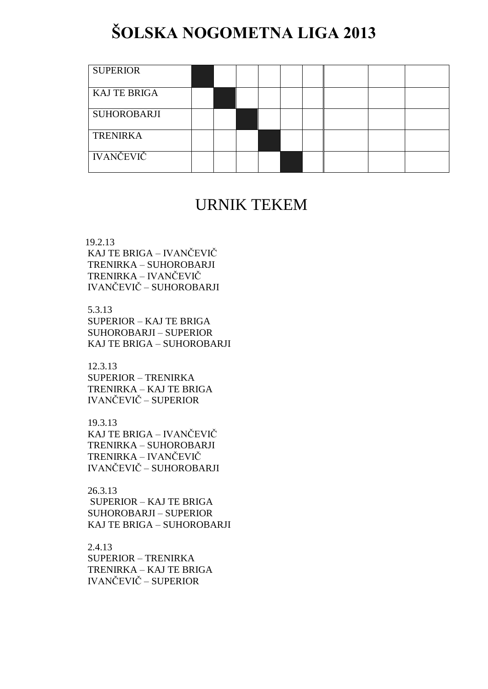## **ŠOLSKA NOGOMETNA LIGA 2013**

| <b>SUPERIOR</b>     |  |  |  |  |  |
|---------------------|--|--|--|--|--|
| <b>KAJ TE BRIGA</b> |  |  |  |  |  |
| SUHOROBARJI         |  |  |  |  |  |
| <b>TRENIRKA</b>     |  |  |  |  |  |
| <b>IVANČEVIČ</b>    |  |  |  |  |  |

## URNIK TEKEM

19.2.13

KAJ TE BRIGA – IVANČEVIČ TRENIRKA – SUHOROBARJI TRENIRKA – IVANČEVIČ IVANČEVIČ – SUHOROBARJI

5.3.13

SUPERIOR – KAJ TE BRIGA SUHOROBARJI – SUPERIOR KAJ TE BRIGA – SUHOROBARJI

12.3.13 SUPERIOR – TRENIRKA TRENIRKA – KAJ TE BRIGA IVANČEVIČ – SUPERIOR

19.3.13 KAJ TE BRIGA – IVANČEVIČ TRENIRKA – SUHOROBARJI TRENIRKA – IVANČEVIČ IVANČEVIČ – SUHOROBARJI

26.3.13 SUPERIOR – KAJ TE BRIGA SUHOROBARJI – SUPERIOR KAJ TE BRIGA – SUHOROBARJI

2.4.13 SUPERIOR – TRENIRKA TRENIRKA – KAJ TE BRIGA IVANČEVIČ – SUPERIOR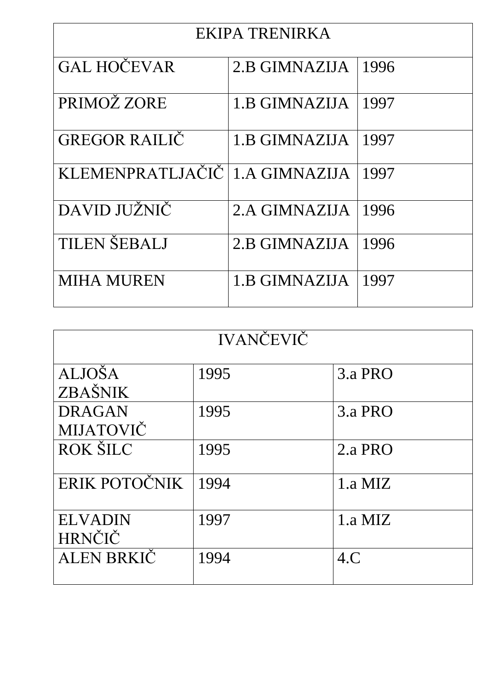| EKIPA TRENIRKA                   |               |      |  |  |
|----------------------------------|---------------|------|--|--|
| <b>GAL HOČEVAR</b>               | 2.B GIMNAZIJA | 1996 |  |  |
| PRIMOŽ ZORE                      | 1.B GIMNAZIJA | 1997 |  |  |
| <b>GREGOR RAILIČ</b>             | 1.B GIMNAZIJA | 1997 |  |  |
| KLEMENPRATLJAČIČ   1.A GIMNAZIJA |               | 1997 |  |  |
| DAVID JUŽNIČ                     | 2.A GIMNAZIJA | 1996 |  |  |
| <b>TILEN ŠEBALJ</b>              | 2.B GIMNAZIJA | 1996 |  |  |
| <b>MIHA MUREN</b>                | 1.B GIMNAZIJA | 1997 |  |  |

| <b>IVANČEVIČ</b>           |      |         |  |  |
|----------------------------|------|---------|--|--|
| <b>ALJOŠA</b><br>ZBAŠNIK   | 1995 | 3.a PRO |  |  |
| <b>DRAGAN</b><br>MIJATOVIČ | 1995 | 3.a PRO |  |  |
| <b>ROK ŠILC</b>            | 1995 | 2.a PRO |  |  |
| ERIK POTOČNIK              | 1994 | 1.a MIZ |  |  |
| <b>ELVADIN</b><br>HRNČIČ   | 1997 | 1.a MIZ |  |  |
| <b>ALEN BRKIC</b>          | 1994 | 4.C     |  |  |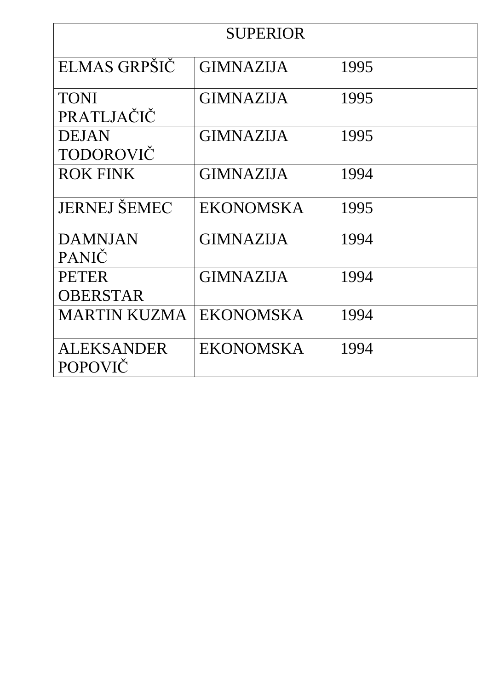| <b>SUPERIOR</b>     |                  |      |  |
|---------------------|------------------|------|--|
| ELMAS GRPŠIČ        | <b>GIMNAZIJA</b> | 1995 |  |
|                     |                  |      |  |
| <b>TONI</b>         | <b>GIMNAZIJA</b> | 1995 |  |
| PRATLJAČIČ          |                  |      |  |
| <b>DEJAN</b>        | <b>GIMNAZIJA</b> | 1995 |  |
| TODOROVIČ           |                  |      |  |
| <b>ROK FINK</b>     | <b>GIMNAZIJA</b> | 1994 |  |
| <b>JERNEJ ŠEMEC</b> | <b>EKONOMSKA</b> | 1995 |  |
|                     |                  |      |  |
| <b>DAMNJAN</b>      | <b>GIMNAZIJA</b> | 1994 |  |
| <b>PANIČ</b>        |                  |      |  |
| <b>PETER</b>        | <b>GIMNAZIJA</b> | 1994 |  |
| <b>OBERSTAR</b>     |                  |      |  |
| MARTIN KUZMA        | <b>EKONOMSKA</b> | 1994 |  |
|                     |                  |      |  |
| ALEKSANDER          | <b>EKONOMSKA</b> | 1994 |  |
| <b>POPOVIČ</b>      |                  |      |  |